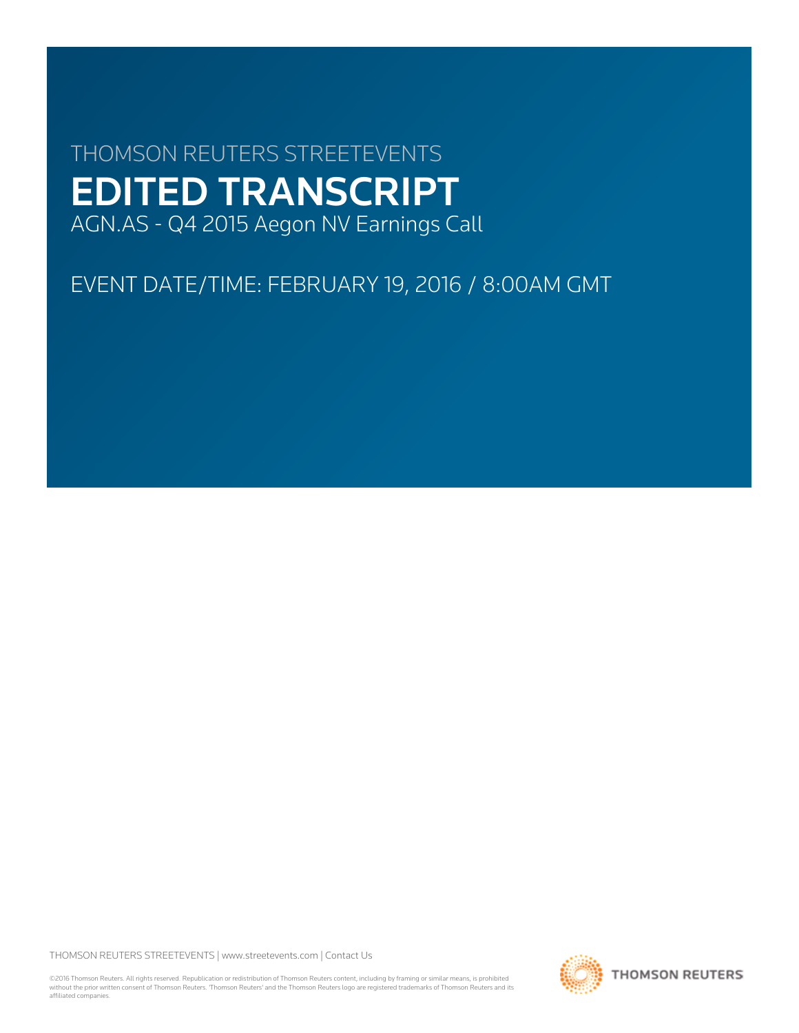# THOMSON REUTERS STREETEVENTS EDITED TRANSCRIPT AGN.AS - Q4 2015 Aegon NV Earnings Call

EVENT DATE/TIME: FEBRUARY 19, 2016 / 8:00AM GMT

THOMSON REUTERS STREETEVENTS | [www.streetevents.com](http://www.streetevents.com) | [Contact Us](http://www010.streetevents.com/contact.asp)

©2016 Thomson Reuters. All rights reserved. Republication or redistribution of Thomson Reuters content, including by framing or similar means, is prohibited without the prior written consent of Thomson Reuters. 'Thomson Reuters' and the Thomson Reuters logo are registered trademarks of Thomson Reuters and its affiliated companies.

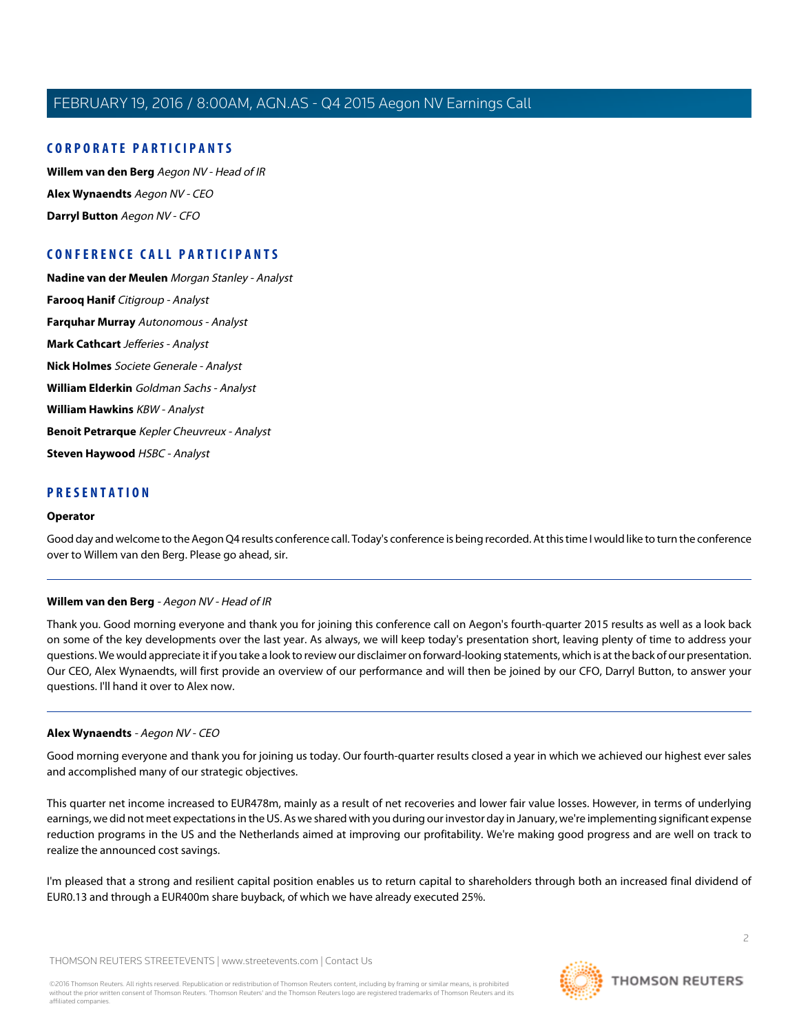# **CORPORATE PARTICIPANTS**

**[Willem van den Berg](#page-1-0)** Aegon NV - Head of IR **[Alex Wynaendts](#page-1-1)** Aegon NV - CEO **[Darryl Button](#page-4-0)** Aegon NV - CFO

# **CONFERENCE CALL PARTICIPANTS**

**[Nadine van der Meulen](#page-3-0)** Morgan Stanley - Analyst **[Farooq Hanif](#page-5-0)** Citigroup - Analyst **[Farquhar Murray](#page-6-0)** Autonomous - Analyst **[Mark Cathcart](#page-8-0)** Jefferies - Analyst **[Nick Holmes](#page-9-0)** Societe Generale - Analyst **[William Elderkin](#page-11-0)** Goldman Sachs - Analyst **[William Hawkins](#page-13-0)** KBW - Analyst **[Benoit Petrarque](#page-14-0)** Kepler Cheuvreux - Analyst **[Steven Haywood](#page-15-0)** HSBC - Analyst

# **PRESENTATION**

#### **Operator**

<span id="page-1-0"></span>Good day and welcome to the Aegon Q4 results conference call. Today's conference is being recorded. At this time I would like to turn the conference over to Willem van den Berg. Please go ahead, sir.

#### **Willem van den Berg** - Aegon NV - Head of IR

<span id="page-1-1"></span>Thank you. Good morning everyone and thank you for joining this conference call on Aegon's fourth-quarter 2015 results as well as a look back on some of the key developments over the last year. As always, we will keep today's presentation short, leaving plenty of time to address your questions. We would appreciate it if you take a look to review our disclaimer on forward-looking statements, which is at the back of our presentation. Our CEO, Alex Wynaendts, will first provide an overview of our performance and will then be joined by our CFO, Darryl Button, to answer your questions. I'll hand it over to Alex now.

#### **Alex Wynaendts** - Aegon NV - CEO

Good morning everyone and thank you for joining us today. Our fourth-quarter results closed a year in which we achieved our highest ever sales and accomplished many of our strategic objectives.

This quarter net income increased to EUR478m, mainly as a result of net recoveries and lower fair value losses. However, in terms of underlying earnings, we did not meet expectations in the US. As we shared with you during our investor day in January, we're implementing significant expense reduction programs in the US and the Netherlands aimed at improving our profitability. We're making good progress and are well on track to realize the announced cost savings.

I'm pleased that a strong and resilient capital position enables us to return capital to shareholders through both an increased final dividend of EUR0.13 and through a EUR400m share buyback, of which we have already executed 25%.

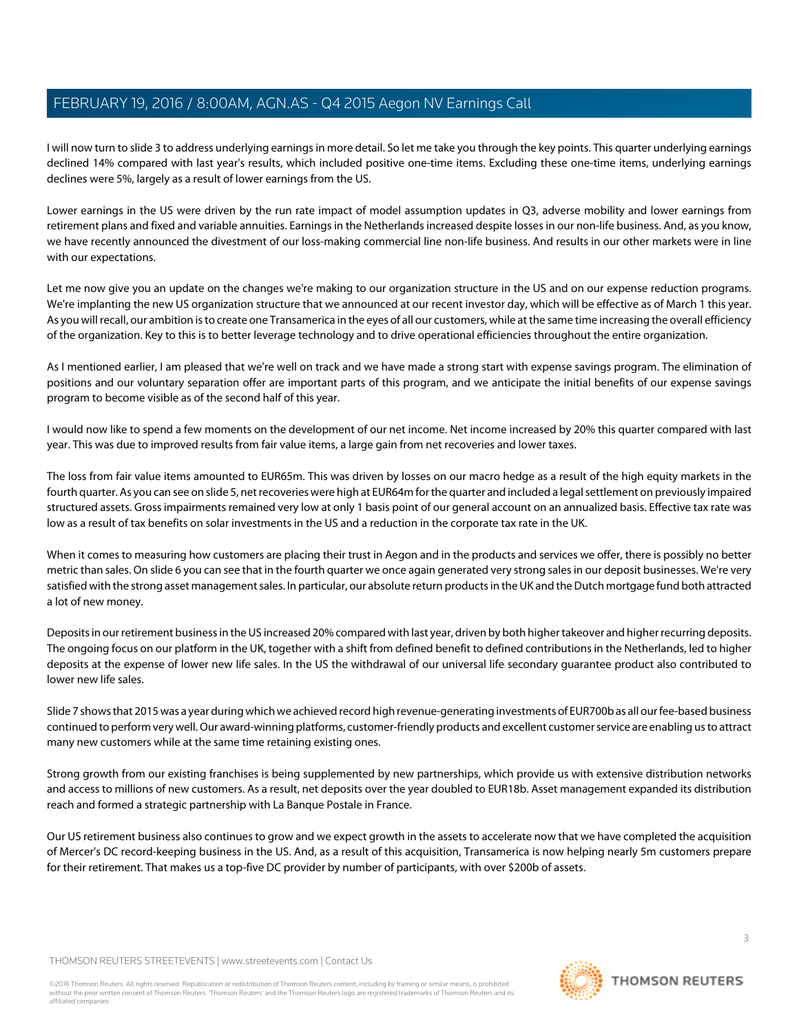I will now turn to slide 3 to address underlying earnings in more detail. So let me take you through the key points. This quarter underlying earnings declined 14% compared with last year's results, which included positive one-time items. Excluding these one-time items, underlying earnings declines were 5%, largely as a result of lower earnings from the US.

Lower earnings in the US were driven by the run rate impact of model assumption updates in Q3, adverse mobility and lower earnings from retirement plans and fixed and variable annuities. Earnings in the Netherlands increased despite losses in our non-life business. And, as you know, we have recently announced the divestment of our loss-making commercial line non-life business. And results in our other markets were in line with our expectations.

Let me now give you an update on the changes we're making to our organization structure in the US and on our expense reduction programs. We're implanting the new US organization structure that we announced at our recent investor day, which will be effective as of March 1 this year. As you will recall, our ambition is to create one Transamerica in the eyes of all our customers, while at the same time increasing the overall efficiency of the organization. Key to this is to better leverage technology and to drive operational efficiencies throughout the entire organization.

As I mentioned earlier, I am pleased that we're well on track and we have made a strong start with expense savings program. The elimination of positions and our voluntary separation offer are important parts of this program, and we anticipate the initial benefits of our expense savings program to become visible as of the second half of this year.

I would now like to spend a few moments on the development of our net income. Net income increased by 20% this quarter compared with last year. This was due to improved results from fair value items, a large gain from net recoveries and lower taxes.

The loss from fair value items amounted to EUR65m. This was driven by losses on our macro hedge as a result of the high equity markets in the fourth quarter. As you can see on slide 5, net recoveries were high at EUR64m for the quarter and included a legal settlement on previously impaired structured assets. Gross impairments remained very low at only 1 basis point of our general account on an annualized basis. Effective tax rate was low as a result of tax benefits on solar investments in the US and a reduction in the corporate tax rate in the UK.

When it comes to measuring how customers are placing their trust in Aegon and in the products and services we offer, there is possibly no better metric than sales. On slide 6 you can see that in the fourth quarter we once again generated very strong sales in our deposit businesses. We're very satisfied with the strong asset management sales. In particular, our absolute return products in the UK and the Dutch mortgage fund both attracted a lot of new money.

Deposits in our retirement business in the US increased 20% compared with last year, driven by both higher takeover and higher recurring deposits. The ongoing focus on our platform in the UK, together with a shift from defined benefit to defined contributions in the Netherlands, led to higher deposits at the expense of lower new life sales. In the US the withdrawal of our universal life secondary guarantee product also contributed to lower new life sales.

Slide 7 shows that 2015 was a year during which we achieved record high revenue-generating investments of EUR700b as all our fee-based business continued to perform very well. Our award-winning platforms, customer-friendly products and excellent customer service are enabling us to attract many new customers while at the same time retaining existing ones.

Strong growth from our existing franchises is being supplemented by new partnerships, which provide us with extensive distribution networks and access to millions of new customers. As a result, net deposits over the year doubled to EUR18b. Asset management expanded its distribution reach and formed a strategic partnership with La Banque Postale in France.

Our US retirement business also continues to grow and we expect growth in the assets to accelerate now that we have completed the acquisition of Mercer's DC record-keeping business in the US. And, as a result of this acquisition, Transamerica is now helping nearly 5m customers prepare for their retirement. That makes us a top-five DC provider by number of participants, with over \$200b of assets.

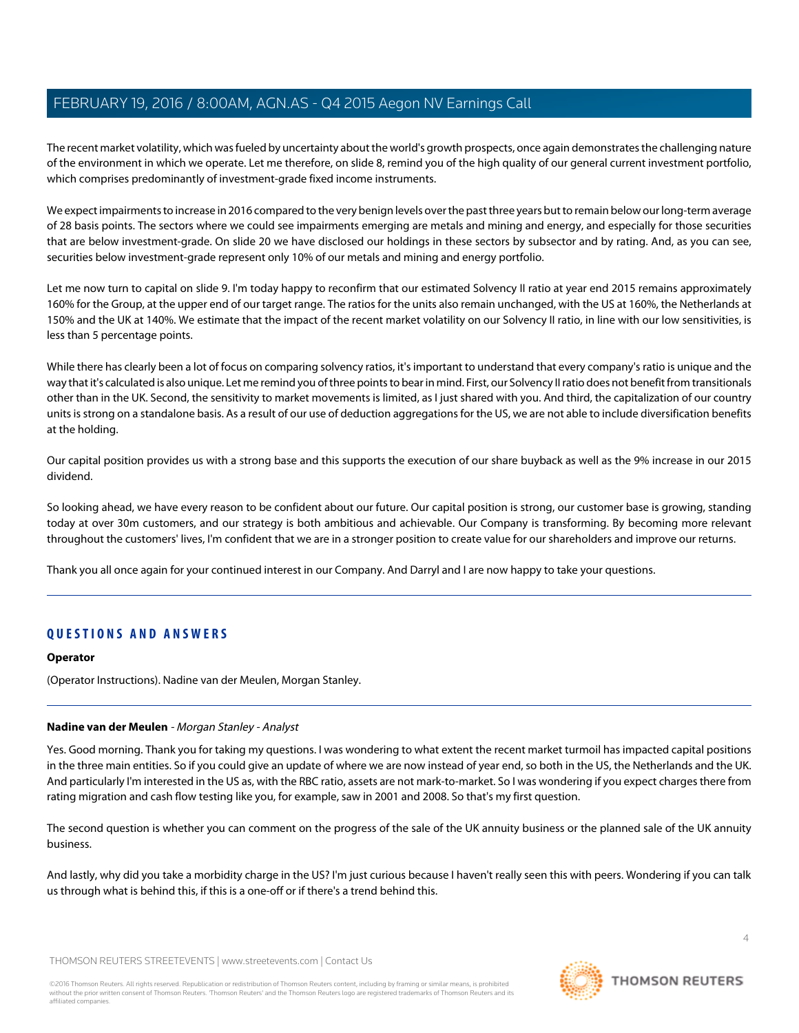The recent market volatility, which was fueled by uncertainty about the world's growth prospects, once again demonstrates the challenging nature of the environment in which we operate. Let me therefore, on slide 8, remind you of the high quality of our general current investment portfolio, which comprises predominantly of investment-grade fixed income instruments.

We expect impairments to increase in 2016 compared to the very benign levels over the past three years but to remain below our long-term average of 28 basis points. The sectors where we could see impairments emerging are metals and mining and energy, and especially for those securities that are below investment-grade. On slide 20 we have disclosed our holdings in these sectors by subsector and by rating. And, as you can see, securities below investment-grade represent only 10% of our metals and mining and energy portfolio.

Let me now turn to capital on slide 9. I'm today happy to reconfirm that our estimated Solvency II ratio at year end 2015 remains approximately 160% for the Group, at the upper end of our target range. The ratios for the units also remain unchanged, with the US at 160%, the Netherlands at 150% and the UK at 140%. We estimate that the impact of the recent market volatility on our Solvency II ratio, in line with our low sensitivities, is less than 5 percentage points.

While there has clearly been a lot of focus on comparing solvency ratios, it's important to understand that every company's ratio is unique and the way that it's calculated is also unique. Let me remind you of three points to bear in mind. First, our Solvency II ratio does not benefit from transitionals other than in the UK. Second, the sensitivity to market movements is limited, as I just shared with you. And third, the capitalization of our country units is strong on a standalone basis. As a result of our use of deduction aggregations for the US, we are not able to include diversification benefits at the holding.

Our capital position provides us with a strong base and this supports the execution of our share buyback as well as the 9% increase in our 2015 dividend.

So looking ahead, we have every reason to be confident about our future. Our capital position is strong, our customer base is growing, standing today at over 30m customers, and our strategy is both ambitious and achievable. Our Company is transforming. By becoming more relevant throughout the customers' lives, I'm confident that we are in a stronger position to create value for our shareholders and improve our returns.

Thank you all once again for your continued interest in our Company. And Darryl and I are now happy to take your questions.

# **QUESTIONS AND ANSWERS**

#### <span id="page-3-0"></span>**Operator**

(Operator Instructions). Nadine van der Meulen, Morgan Stanley.

# **Nadine van der Meulen** - Morgan Stanley - Analyst

Yes. Good morning. Thank you for taking my questions. I was wondering to what extent the recent market turmoil has impacted capital positions in the three main entities. So if you could give an update of where we are now instead of year end, so both in the US, the Netherlands and the UK. And particularly I'm interested in the US as, with the RBC ratio, assets are not mark-to-market. So I was wondering if you expect charges there from rating migration and cash flow testing like you, for example, saw in 2001 and 2008. So that's my first question.

The second question is whether you can comment on the progress of the sale of the UK annuity business or the planned sale of the UK annuity business.

And lastly, why did you take a morbidity charge in the US? I'm just curious because I haven't really seen this with peers. Wondering if you can talk us through what is behind this, if this is a one-off or if there's a trend behind this.

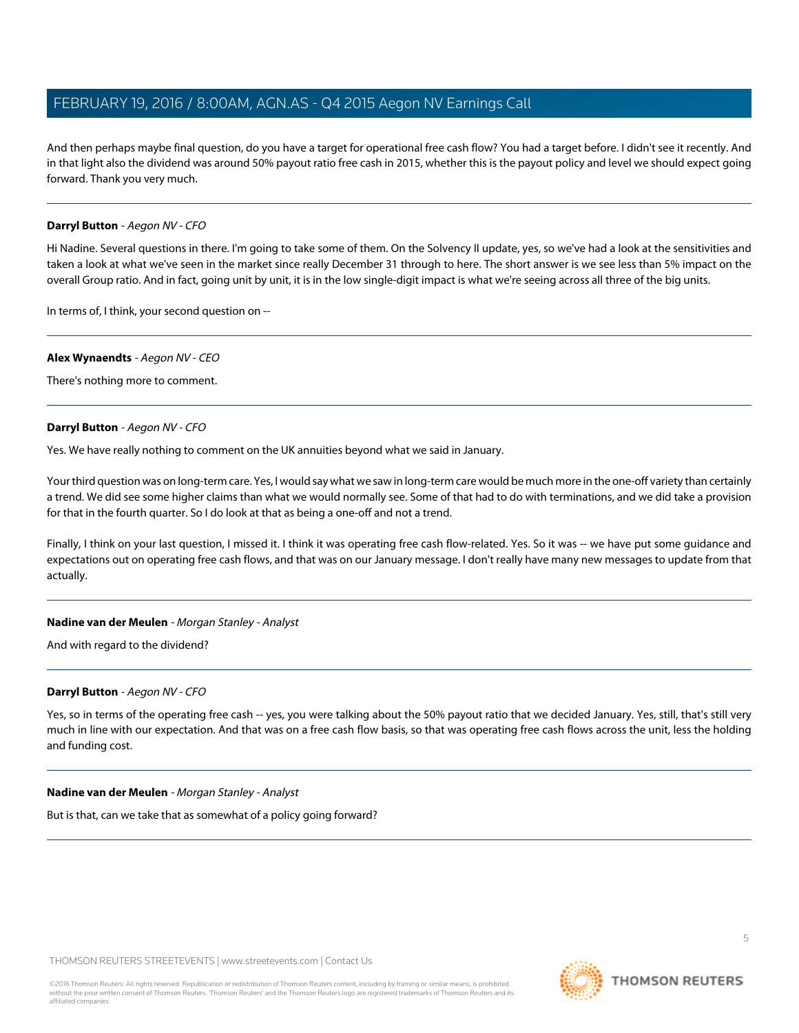And then perhaps maybe final question, do you have a target for operational free cash flow? You had a target before. I didn't see it recently. And in that light also the dividend was around 50% payout ratio free cash in 2015, whether this is the payout policy and level we should expect going forward. Thank you very much.

# <span id="page-4-0"></span>**Darryl Button** - Aegon NV - CFO

Hi Nadine. Several questions in there. I'm going to take some of them. On the Solvency II update, yes, so we've had a look at the sensitivities and taken a look at what we've seen in the market since really December 31 through to here. The short answer is we see less than 5% impact on the overall Group ratio. And in fact, going unit by unit, it is in the low single-digit impact is what we're seeing across all three of the big units.

In terms of, I think, your second question on --

#### **Alex Wynaendts** - Aegon NV - CEO

There's nothing more to comment.

#### **Darryl Button** - Aegon NV - CFO

Yes. We have really nothing to comment on the UK annuities beyond what we said in January.

Your third question was on long-term care. Yes, I would say what we saw in long-term care would be much more in the one-off variety than certainly a trend. We did see some higher claims than what we would normally see. Some of that had to do with terminations, and we did take a provision for that in the fourth quarter. So I do look at that as being a one-off and not a trend.

Finally, I think on your last question, I missed it. I think it was operating free cash flow-related. Yes. So it was -- we have put some guidance and expectations out on operating free cash flows, and that was on our January message. I don't really have many new messages to update from that actually.

#### **Nadine van der Meulen** - Morgan Stanley - Analyst

And with regard to the dividend?

#### **Darryl Button** - Aegon NV - CFO

Yes, so in terms of the operating free cash -- yes, you were talking about the 50% payout ratio that we decided January. Yes, still, that's still very much in line with our expectation. And that was on a free cash flow basis, so that was operating free cash flows across the unit, less the holding and funding cost.

#### **Nadine van der Meulen** - Morgan Stanley - Analyst

But is that, can we take that as somewhat of a policy going forward?

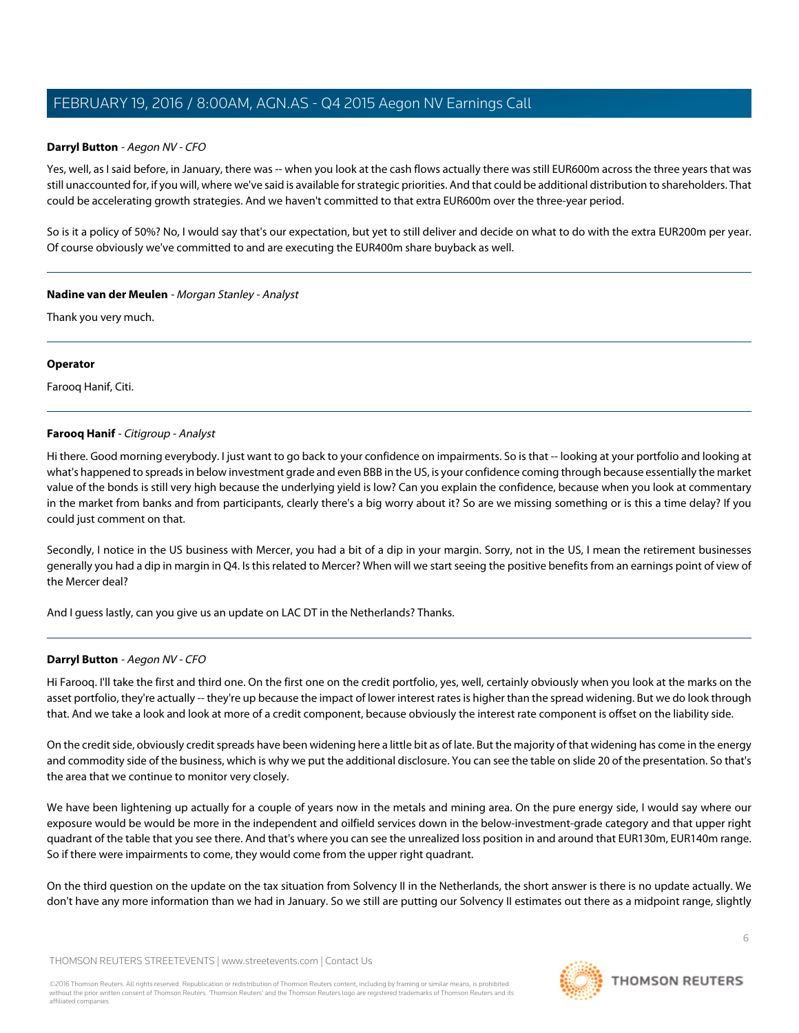# **Darryl Button** - Aegon NV - CFO

Yes, well, as I said before, in January, there was -- when you look at the cash flows actually there was still EUR600m across the three years that was still unaccounted for, if you will, where we've said is available for strategic priorities. And that could be additional distribution to shareholders. That could be accelerating growth strategies. And we haven't committed to that extra EUR600m over the three-year period.

So is it a policy of 50%? No, I would say that's our expectation, but yet to still deliver and decide on what to do with the extra EUR200m per year. Of course obviously we've committed to and are executing the EUR400m share buyback as well.

# **Nadine van der Meulen** - Morgan Stanley - Analyst

Thank you very much.

## **Operator**

<span id="page-5-0"></span>Farooq Hanif, Citi.

# **Farooq Hanif** - Citigroup - Analyst

Hi there. Good morning everybody. I just want to go back to your confidence on impairments. So is that -- looking at your portfolio and looking at what's happened to spreads in below investment grade and even BBB in the US, is your confidence coming through because essentially the market value of the bonds is still very high because the underlying yield is low? Can you explain the confidence, because when you look at commentary in the market from banks and from participants, clearly there's a big worry about it? So are we missing something or is this a time delay? If you could just comment on that.

Secondly, I notice in the US business with Mercer, you had a bit of a dip in your margin. Sorry, not in the US, I mean the retirement businesses generally you had a dip in margin in Q4. Is this related to Mercer? When will we start seeing the positive benefits from an earnings point of view of the Mercer deal?

And I guess lastly, can you give us an update on LAC DT in the Netherlands? Thanks.

# **Darryl Button** - Aegon NV - CFO

Hi Farooq. I'll take the first and third one. On the first one on the credit portfolio, yes, well, certainly obviously when you look at the marks on the asset portfolio, they're actually -- they're up because the impact of lower interest rates is higher than the spread widening. But we do look through that. And we take a look and look at more of a credit component, because obviously the interest rate component is offset on the liability side.

On the credit side, obviously credit spreads have been widening here a little bit as of late. But the majority of that widening has come in the energy and commodity side of the business, which is why we put the additional disclosure. You can see the table on slide 20 of the presentation. So that's the area that we continue to monitor very closely.

We have been lightening up actually for a couple of years now in the metals and mining area. On the pure energy side, I would say where our exposure would be would be more in the independent and oilfield services down in the below-investment-grade category and that upper right quadrant of the table that you see there. And that's where you can see the unrealized loss position in and around that EUR130m, EUR140m range. So if there were impairments to come, they would come from the upper right quadrant.

On the third question on the update on the tax situation from Solvency II in the Netherlands, the short answer is there is no update actually. We don't have any more information than we had in January. So we still are putting our Solvency II estimates out there as a midpoint range, slightly

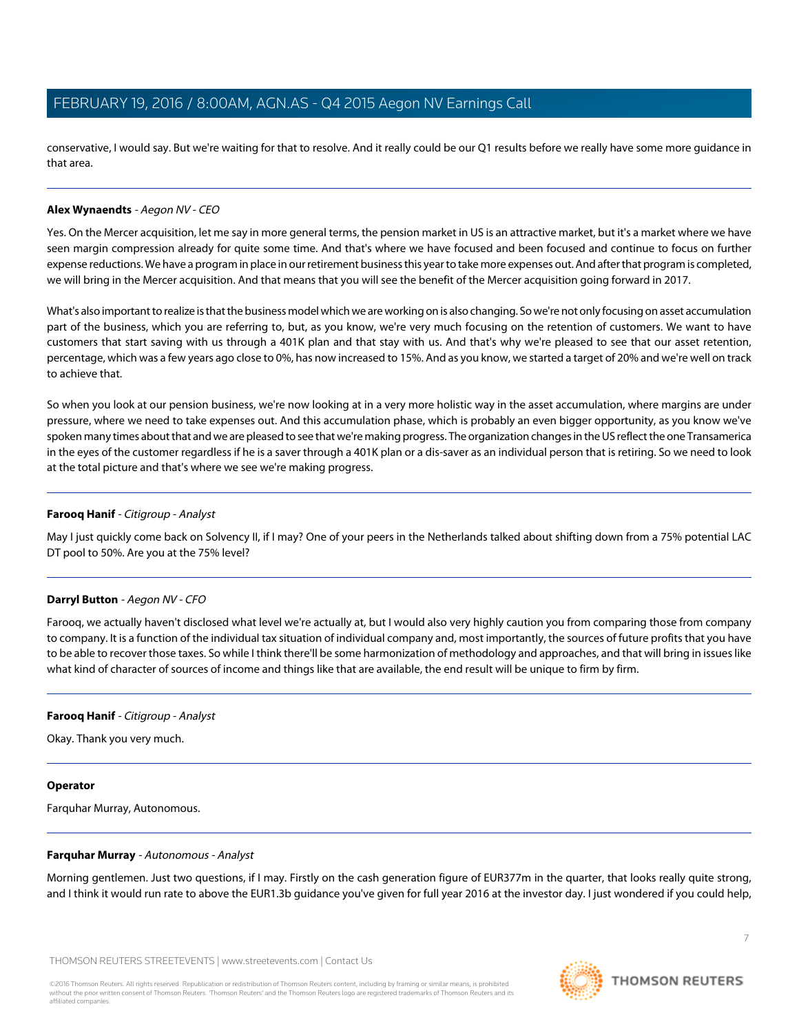conservative, I would say. But we're waiting for that to resolve. And it really could be our Q1 results before we really have some more guidance in that area.

# **Alex Wynaendts** - Aegon NV - CEO

Yes. On the Mercer acquisition, let me say in more general terms, the pension market in US is an attractive market, but it's a market where we have seen margin compression already for quite some time. And that's where we have focused and been focused and continue to focus on further expense reductions. We have a program in place in our retirement business this year to take more expenses out. And after that program is completed, we will bring in the Mercer acquisition. And that means that you will see the benefit of the Mercer acquisition going forward in 2017.

What's also important to realize is that the business model which we are working on is also changing. So we're not only focusing on asset accumulation part of the business, which you are referring to, but, as you know, we're very much focusing on the retention of customers. We want to have customers that start saving with us through a 401K plan and that stay with us. And that's why we're pleased to see that our asset retention, percentage, which was a few years ago close to 0%, has now increased to 15%. And as you know, we started a target of 20% and we're well on track to achieve that.

So when you look at our pension business, we're now looking at in a very more holistic way in the asset accumulation, where margins are under pressure, where we need to take expenses out. And this accumulation phase, which is probably an even bigger opportunity, as you know we've spoken many times about that and we are pleased to see that we're making progress. The organization changes in the US reflect the one Transamerica in the eyes of the customer regardless if he is a saver through a 401K plan or a dis-saver as an individual person that is retiring. So we need to look at the total picture and that's where we see we're making progress.

## **Farooq Hanif** - Citigroup - Analyst

May I just quickly come back on Solvency II, if I may? One of your peers in the Netherlands talked about shifting down from a 75% potential LAC DT pool to 50%. Are you at the 75% level?

#### **Darryl Button** - Aegon NV - CFO

Farooq, we actually haven't disclosed what level we're actually at, but I would also very highly caution you from comparing those from company to company. It is a function of the individual tax situation of individual company and, most importantly, the sources of future profits that you have to be able to recover those taxes. So while I think there'll be some harmonization of methodology and approaches, and that will bring in issues like what kind of character of sources of income and things like that are available, the end result will be unique to firm by firm.

#### **Farooq Hanif** - Citigroup - Analyst

Okay. Thank you very much.

#### <span id="page-6-0"></span>**Operator**

Farquhar Murray, Autonomous.

#### **Farquhar Murray** - Autonomous - Analyst

Morning gentlemen. Just two questions, if I may. Firstly on the cash generation figure of EUR377m in the quarter, that looks really quite strong, and I think it would run rate to above the EUR1.3b guidance you've given for full year 2016 at the investor day. I just wondered if you could help,

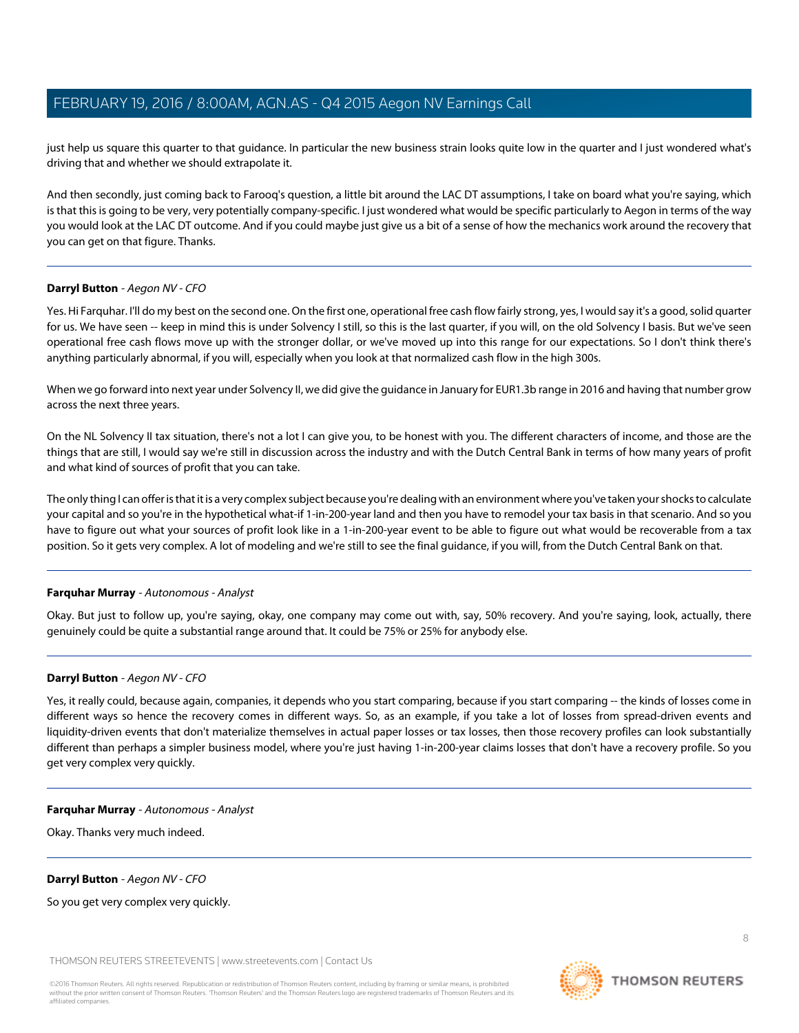just help us square this quarter to that guidance. In particular the new business strain looks quite low in the quarter and I just wondered what's driving that and whether we should extrapolate it.

And then secondly, just coming back to Farooq's question, a little bit around the LAC DT assumptions, I take on board what you're saying, which is that this is going to be very, very potentially company-specific. I just wondered what would be specific particularly to Aegon in terms of the way you would look at the LAC DT outcome. And if you could maybe just give us a bit of a sense of how the mechanics work around the recovery that you can get on that figure. Thanks.

# **Darryl Button** - Aegon NV - CFO

Yes. Hi Farquhar. I'll do my best on the second one. On the first one, operational free cash flow fairly strong, yes, I would say it's a good, solid quarter for us. We have seen -- keep in mind this is under Solvency I still, so this is the last quarter, if you will, on the old Solvency I basis. But we've seen operational free cash flows move up with the stronger dollar, or we've moved up into this range for our expectations. So I don't think there's anything particularly abnormal, if you will, especially when you look at that normalized cash flow in the high 300s.

When we go forward into next year under Solvency II, we did give the guidance in January for EUR1.3b range in 2016 and having that number grow across the next three years.

On the NL Solvency II tax situation, there's not a lot I can give you, to be honest with you. The different characters of income, and those are the things that are still, I would say we're still in discussion across the industry and with the Dutch Central Bank in terms of how many years of profit and what kind of sources of profit that you can take.

The only thing I can offer is that it is a very complex subject because you're dealing with an environment where you've taken your shocks to calculate your capital and so you're in the hypothetical what-if 1-in-200-year land and then you have to remodel your tax basis in that scenario. And so you have to figure out what your sources of profit look like in a 1-in-200-year event to be able to figure out what would be recoverable from a tax position. So it gets very complex. A lot of modeling and we're still to see the final guidance, if you will, from the Dutch Central Bank on that.

# **Farquhar Murray** - Autonomous - Analyst

Okay. But just to follow up, you're saying, okay, one company may come out with, say, 50% recovery. And you're saying, look, actually, there genuinely could be quite a substantial range around that. It could be 75% or 25% for anybody else.

#### **Darryl Button** - Aegon NV - CFO

Yes, it really could, because again, companies, it depends who you start comparing, because if you start comparing -- the kinds of losses come in different ways so hence the recovery comes in different ways. So, as an example, if you take a lot of losses from spread-driven events and liquidity-driven events that don't materialize themselves in actual paper losses or tax losses, then those recovery profiles can look substantially different than perhaps a simpler business model, where you're just having 1-in-200-year claims losses that don't have a recovery profile. So you get very complex very quickly.

#### **Farquhar Murray** - Autonomous - Analyst

Okay. Thanks very much indeed.

**Darryl Button** - Aegon NV - CFO

So you get very complex very quickly.

THOMSON REUTERS STREETEVENTS | [www.streetevents.com](http://www.streetevents.com) | [Contact Us](http://www010.streetevents.com/contact.asp)

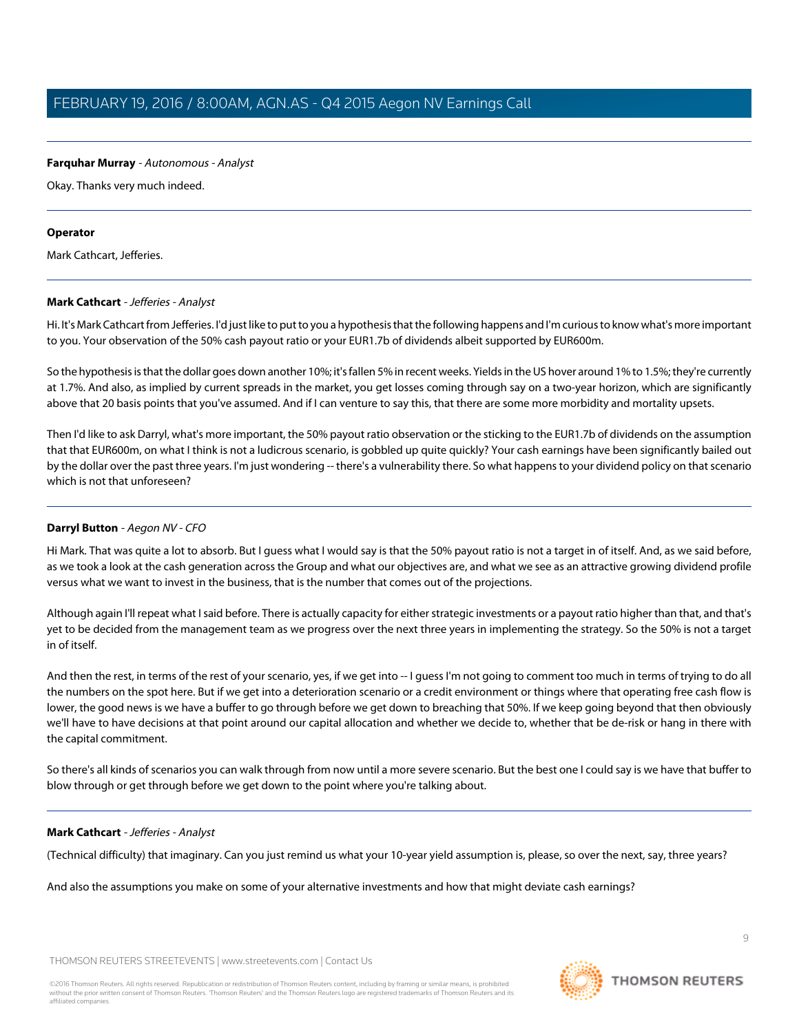# **Farquhar Murray** - Autonomous - Analyst

Okay. Thanks very much indeed.

#### **Operator**

<span id="page-8-0"></span>Mark Cathcart, Jefferies.

## **Mark Cathcart** - Jefferies - Analyst

Hi. It's Mark Cathcart from Jefferies. I'd just like to put to you a hypothesis that the following happens and I'm curious to know what's more important to you. Your observation of the 50% cash payout ratio or your EUR1.7b of dividends albeit supported by EUR600m.

So the hypothesis is that the dollar goes down another 10%; it's fallen 5% in recent weeks. Yields in the US hover around 1% to 1.5%; they're currently at 1.7%. And also, as implied by current spreads in the market, you get losses coming through say on a two-year horizon, which are significantly above that 20 basis points that you've assumed. And if I can venture to say this, that there are some more morbidity and mortality upsets.

Then I'd like to ask Darryl, what's more important, the 50% payout ratio observation or the sticking to the EUR1.7b of dividends on the assumption that that EUR600m, on what I think is not a ludicrous scenario, is gobbled up quite quickly? Your cash earnings have been significantly bailed out by the dollar over the past three years. I'm just wondering -- there's a vulnerability there. So what happens to your dividend policy on that scenario which is not that unforeseen?

# **Darryl Button** - Aegon NV - CFO

Hi Mark. That was quite a lot to absorb. But I guess what I would say is that the 50% payout ratio is not a target in of itself. And, as we said before, as we took a look at the cash generation across the Group and what our objectives are, and what we see as an attractive growing dividend profile versus what we want to invest in the business, that is the number that comes out of the projections.

Although again I'll repeat what I said before. There is actually capacity for either strategic investments or a payout ratio higher than that, and that's yet to be decided from the management team as we progress over the next three years in implementing the strategy. So the 50% is not a target in of itself.

And then the rest, in terms of the rest of your scenario, yes, if we get into -- I guess I'm not going to comment too much in terms of trying to do all the numbers on the spot here. But if we get into a deterioration scenario or a credit environment or things where that operating free cash flow is lower, the good news is we have a buffer to go through before we get down to breaching that 50%. If we keep going beyond that then obviously we'll have to have decisions at that point around our capital allocation and whether we decide to, whether that be de-risk or hang in there with the capital commitment.

So there's all kinds of scenarios you can walk through from now until a more severe scenario. But the best one I could say is we have that buffer to blow through or get through before we get down to the point where you're talking about.

# **Mark Cathcart** - Jefferies - Analyst

(Technical difficulty) that imaginary. Can you just remind us what your 10-year yield assumption is, please, so over the next, say, three years?

And also the assumptions you make on some of your alternative investments and how that might deviate cash earnings?

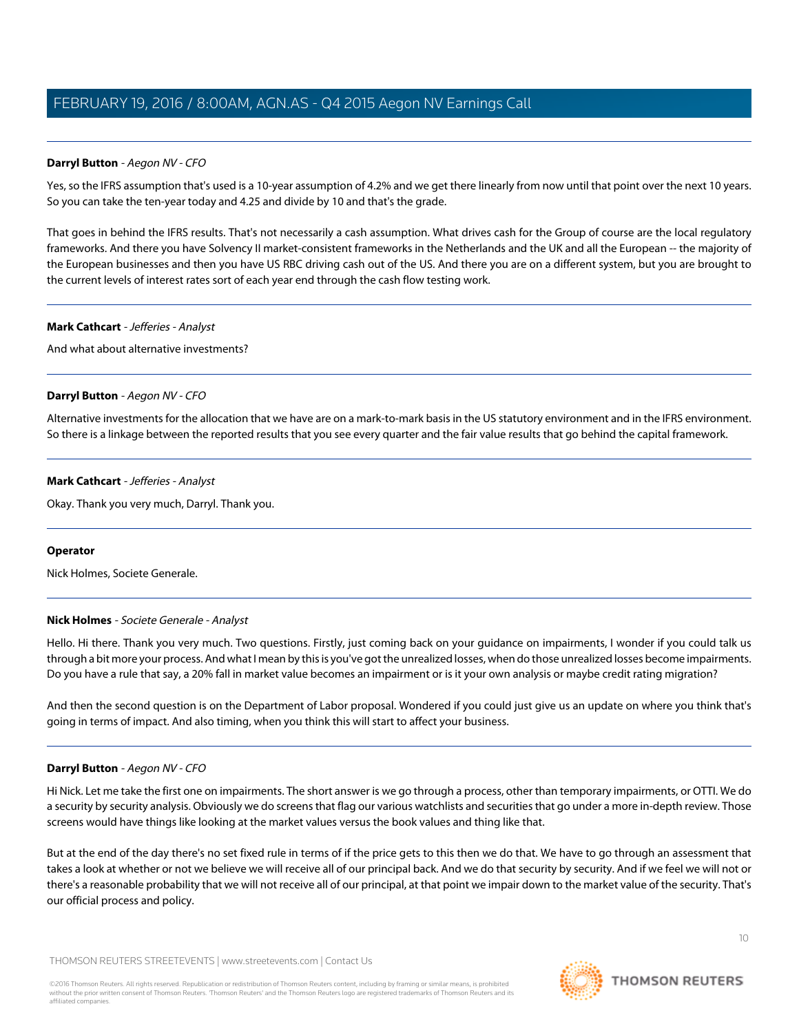# **Darryl Button** - Aegon NV - CFO

Yes, so the IFRS assumption that's used is a 10-year assumption of 4.2% and we get there linearly from now until that point over the next 10 years. So you can take the ten-year today and 4.25 and divide by 10 and that's the grade.

That goes in behind the IFRS results. That's not necessarily a cash assumption. What drives cash for the Group of course are the local regulatory frameworks. And there you have Solvency II market-consistent frameworks in the Netherlands and the UK and all the European -- the majority of the European businesses and then you have US RBC driving cash out of the US. And there you are on a different system, but you are brought to the current levels of interest rates sort of each year end through the cash flow testing work.

#### **Mark Cathcart** - Jefferies - Analyst

And what about alternative investments?

## **Darryl Button** - Aegon NV - CFO

Alternative investments for the allocation that we have are on a mark-to-mark basis in the US statutory environment and in the IFRS environment. So there is a linkage between the reported results that you see every quarter and the fair value results that go behind the capital framework.

## **Mark Cathcart** - Jefferies - Analyst

Okay. Thank you very much, Darryl. Thank you.

#### <span id="page-9-0"></span>**Operator**

Nick Holmes, Societe Generale.

# **Nick Holmes** - Societe Generale - Analyst

Hello. Hi there. Thank you very much. Two questions. Firstly, just coming back on your guidance on impairments, I wonder if you could talk us through a bit more your process. And what I mean by this is you've got the unrealized losses, when do those unrealized losses become impairments. Do you have a rule that say, a 20% fall in market value becomes an impairment or is it your own analysis or maybe credit rating migration?

And then the second question is on the Department of Labor proposal. Wondered if you could just give us an update on where you think that's going in terms of impact. And also timing, when you think this will start to affect your business.

#### **Darryl Button** - Aegon NV - CFO

Hi Nick. Let me take the first one on impairments. The short answer is we go through a process, other than temporary impairments, or OTTI. We do a security by security analysis. Obviously we do screens that flag our various watchlists and securities that go under a more in-depth review. Those screens would have things like looking at the market values versus the book values and thing like that.

But at the end of the day there's no set fixed rule in terms of if the price gets to this then we do that. We have to go through an assessment that takes a look at whether or not we believe we will receive all of our principal back. And we do that security by security. And if we feel we will not or there's a reasonable probability that we will not receive all of our principal, at that point we impair down to the market value of the security. That's our official process and policy.

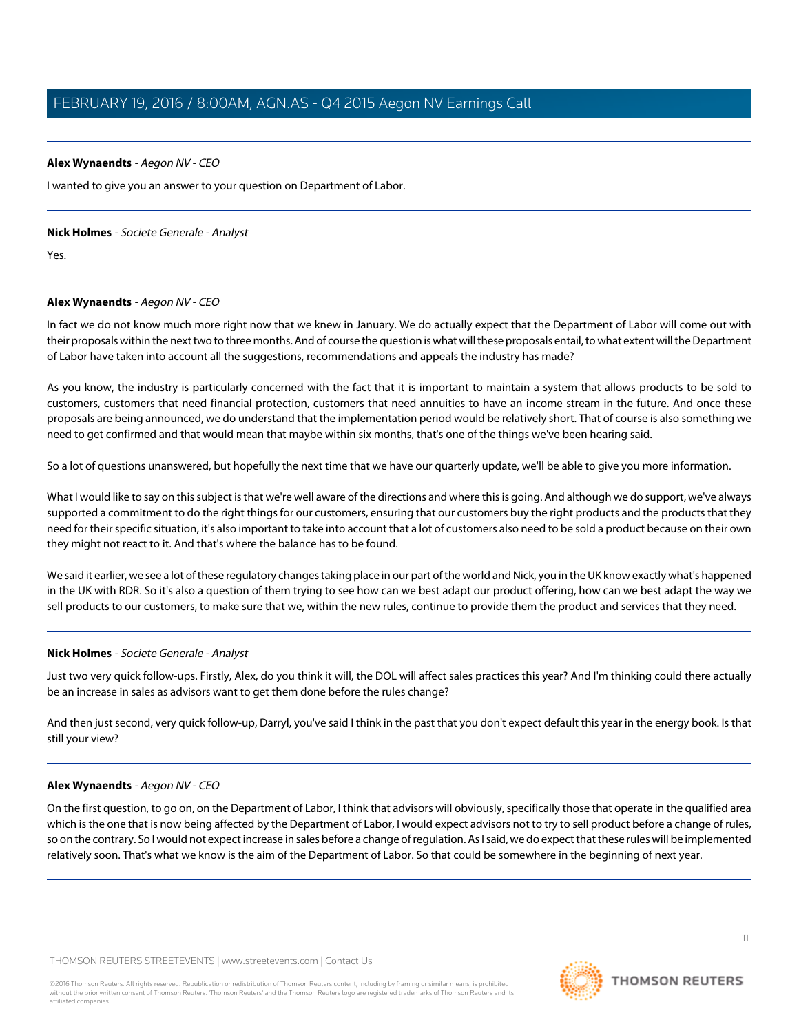## **Alex Wynaendts** - Aegon NV - CEO

I wanted to give you an answer to your question on Department of Labor.

#### **Nick Holmes** - Societe Generale - Analyst

Yes.

# **Alex Wynaendts** - Aegon NV - CEO

In fact we do not know much more right now that we knew in January. We do actually expect that the Department of Labor will come out with their proposals within the next two to three months. And of course the question is what will these proposals entail, to what extent will the Department of Labor have taken into account all the suggestions, recommendations and appeals the industry has made?

As you know, the industry is particularly concerned with the fact that it is important to maintain a system that allows products to be sold to customers, customers that need financial protection, customers that need annuities to have an income stream in the future. And once these proposals are being announced, we do understand that the implementation period would be relatively short. That of course is also something we need to get confirmed and that would mean that maybe within six months, that's one of the things we've been hearing said.

So a lot of questions unanswered, but hopefully the next time that we have our quarterly update, we'll be able to give you more information.

What I would like to say on this subject is that we're well aware of the directions and where this is going. And although we do support, we've always supported a commitment to do the right things for our customers, ensuring that our customers buy the right products and the products that they need for their specific situation, it's also important to take into account that a lot of customers also need to be sold a product because on their own they might not react to it. And that's where the balance has to be found.

We said it earlier, we see a lot of these regulatory changes taking place in our part of the world and Nick, you in the UK know exactly what's happened in the UK with RDR. So it's also a question of them trying to see how can we best adapt our product offering, how can we best adapt the way we sell products to our customers, to make sure that we, within the new rules, continue to provide them the product and services that they need.

# **Nick Holmes** - Societe Generale - Analyst

Just two very quick follow-ups. Firstly, Alex, do you think it will, the DOL will affect sales practices this year? And I'm thinking could there actually be an increase in sales as advisors want to get them done before the rules change?

And then just second, very quick follow-up, Darryl, you've said I think in the past that you don't expect default this year in the energy book. Is that still your view?

# **Alex Wynaendts** - Aegon NV - CEO

On the first question, to go on, on the Department of Labor, I think that advisors will obviously, specifically those that operate in the qualified area which is the one that is now being affected by the Department of Labor, I would expect advisors not to try to sell product before a change of rules, so on the contrary. So I would not expect increase in sales before a change of regulation. As I said, we do expect that these rules will be implemented relatively soon. That's what we know is the aim of the Department of Labor. So that could be somewhere in the beginning of next year.

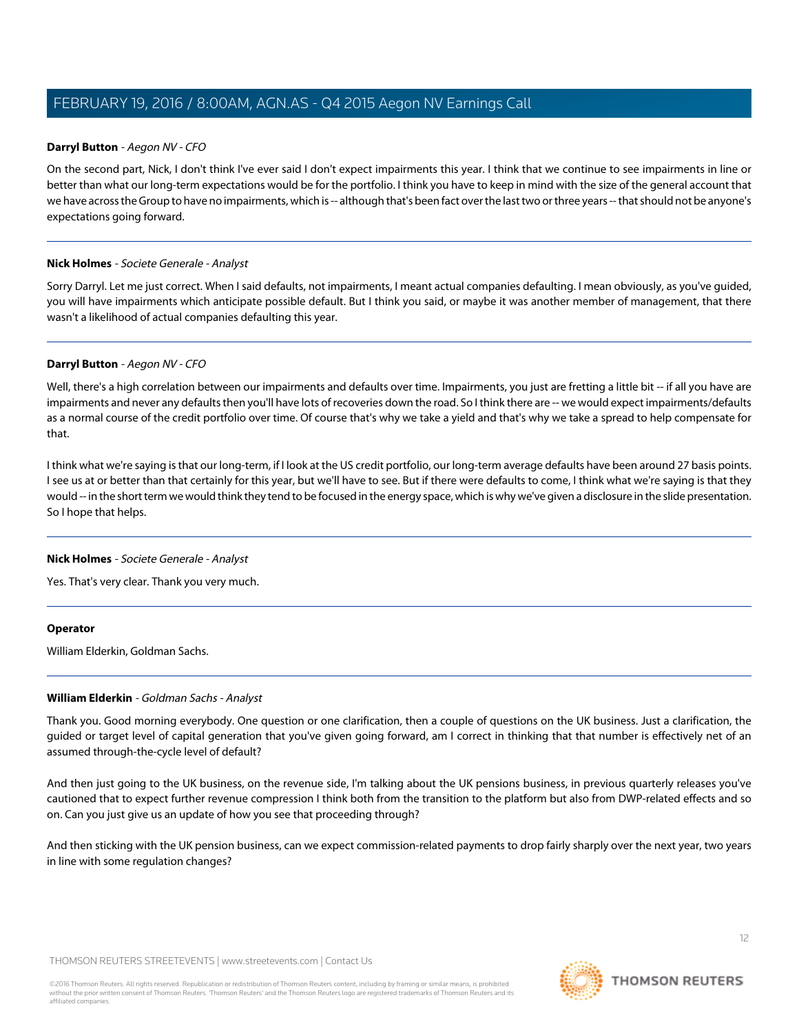# **Darryl Button** - Aegon NV - CFO

On the second part, Nick, I don't think I've ever said I don't expect impairments this year. I think that we continue to see impairments in line or better than what our long-term expectations would be for the portfolio. I think you have to keep in mind with the size of the general account that we have across the Group to have no impairments, which is -- although that's been fact over the last two or three years -- that should not be anyone's expectations going forward.

# **Nick Holmes** - Societe Generale - Analyst

Sorry Darryl. Let me just correct. When I said defaults, not impairments, I meant actual companies defaulting. I mean obviously, as you've guided, you will have impairments which anticipate possible default. But I think you said, or maybe it was another member of management, that there wasn't a likelihood of actual companies defaulting this year.

# **Darryl Button** - Aegon NV - CFO

Well, there's a high correlation between our impairments and defaults over time. Impairments, you just are fretting a little bit -- if all you have are impairments and never any defaults then you'll have lots of recoveries down the road. So I think there are -- we would expect impairments/defaults as a normal course of the credit portfolio over time. Of course that's why we take a yield and that's why we take a spread to help compensate for that.

I think what we're saying is that our long-term, if I look at the US credit portfolio, our long-term average defaults have been around 27 basis points. I see us at or better than that certainly for this year, but we'll have to see. But if there were defaults to come, I think what we're saying is that they would -- in the short term we would think they tend to be focused in the energy space, which is why we've given a disclosure in the slide presentation. So I hope that helps.

#### **Nick Holmes** - Societe Generale - Analyst

Yes. That's very clear. Thank you very much.

#### <span id="page-11-0"></span>**Operator**

William Elderkin, Goldman Sachs.

# **William Elderkin** - Goldman Sachs - Analyst

Thank you. Good morning everybody. One question or one clarification, then a couple of questions on the UK business. Just a clarification, the guided or target level of capital generation that you've given going forward, am I correct in thinking that that number is effectively net of an assumed through-the-cycle level of default?

And then just going to the UK business, on the revenue side, I'm talking about the UK pensions business, in previous quarterly releases you've cautioned that to expect further revenue compression I think both from the transition to the platform but also from DWP-related effects and so on. Can you just give us an update of how you see that proceeding through?

And then sticking with the UK pension business, can we expect commission-related payments to drop fairly sharply over the next year, two years in line with some regulation changes?

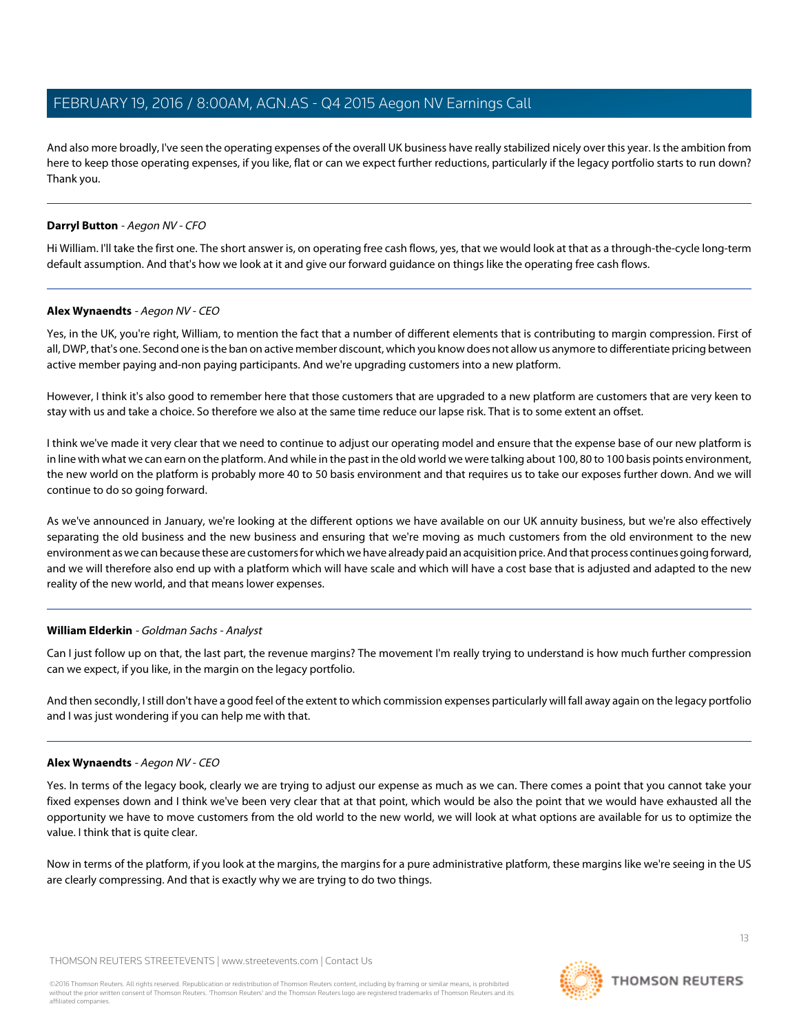And also more broadly, I've seen the operating expenses of the overall UK business have really stabilized nicely over this year. Is the ambition from here to keep those operating expenses, if you like, flat or can we expect further reductions, particularly if the legacy portfolio starts to run down? Thank you.

# **Darryl Button** - Aegon NV - CFO

Hi William. I'll take the first one. The short answer is, on operating free cash flows, yes, that we would look at that as a through-the-cycle long-term default assumption. And that's how we look at it and give our forward guidance on things like the operating free cash flows.

#### **Alex Wynaendts** - Aegon NV - CEO

Yes, in the UK, you're right, William, to mention the fact that a number of different elements that is contributing to margin compression. First of all, DWP, that's one. Second one is the ban on active member discount, which you know does not allow us anymore to differentiate pricing between active member paying and-non paying participants. And we're upgrading customers into a new platform.

However, I think it's also good to remember here that those customers that are upgraded to a new platform are customers that are very keen to stay with us and take a choice. So therefore we also at the same time reduce our lapse risk. That is to some extent an offset.

I think we've made it very clear that we need to continue to adjust our operating model and ensure that the expense base of our new platform is in line with what we can earn on the platform. And while in the past in the old world we were talking about 100, 80 to 100 basis points environment, the new world on the platform is probably more 40 to 50 basis environment and that requires us to take our exposes further down. And we will continue to do so going forward.

As we've announced in January, we're looking at the different options we have available on our UK annuity business, but we're also effectively separating the old business and the new business and ensuring that we're moving as much customers from the old environment to the new environment as we can because these are customers for which we have already paid an acquisition price. And that process continues going forward, and we will therefore also end up with a platform which will have scale and which will have a cost base that is adjusted and adapted to the new reality of the new world, and that means lower expenses.

# **William Elderkin** - Goldman Sachs - Analyst

Can I just follow up on that, the last part, the revenue margins? The movement I'm really trying to understand is how much further compression can we expect, if you like, in the margin on the legacy portfolio.

And then secondly, I still don't have a good feel of the extent to which commission expenses particularly will fall away again on the legacy portfolio and I was just wondering if you can help me with that.

#### **Alex Wynaendts** - Aegon NV - CEO

Yes. In terms of the legacy book, clearly we are trying to adjust our expense as much as we can. There comes a point that you cannot take your fixed expenses down and I think we've been very clear that at that point, which would be also the point that we would have exhausted all the opportunity we have to move customers from the old world to the new world, we will look at what options are available for us to optimize the value. I think that is quite clear.

Now in terms of the platform, if you look at the margins, the margins for a pure administrative platform, these margins like we're seeing in the US are clearly compressing. And that is exactly why we are trying to do two things.

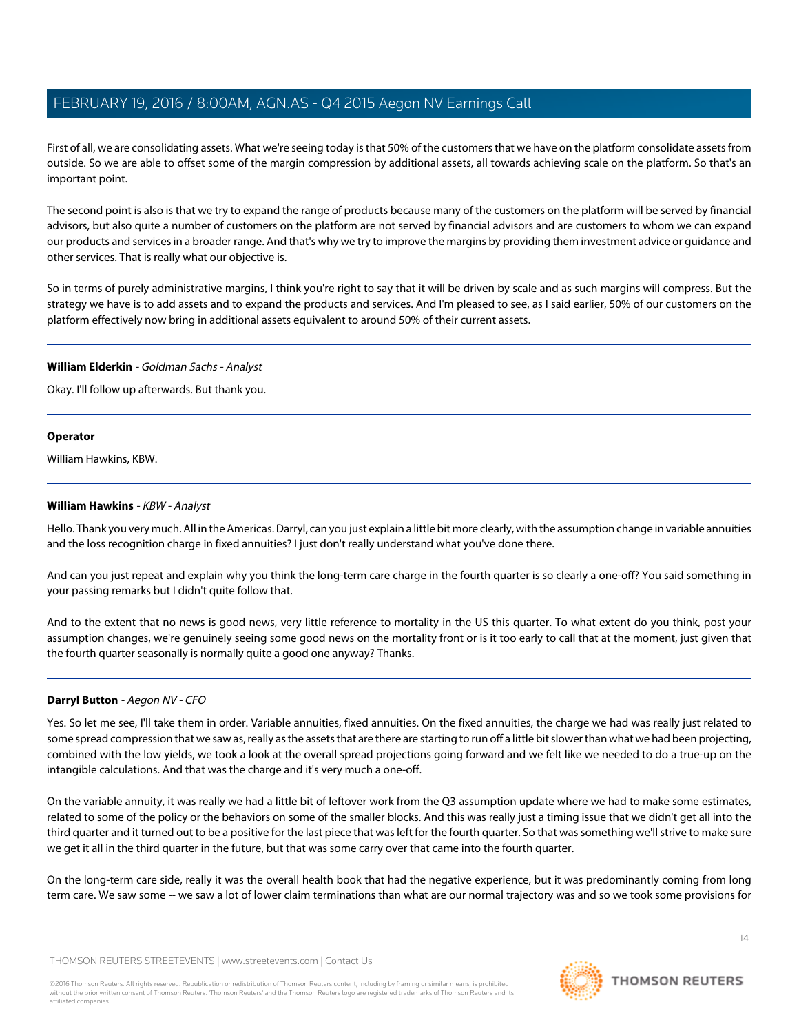First of all, we are consolidating assets. What we're seeing today is that 50% of the customers that we have on the platform consolidate assets from outside. So we are able to offset some of the margin compression by additional assets, all towards achieving scale on the platform. So that's an important point.

The second point is also is that we try to expand the range of products because many of the customers on the platform will be served by financial advisors, but also quite a number of customers on the platform are not served by financial advisors and are customers to whom we can expand our products and services in a broader range. And that's why we try to improve the margins by providing them investment advice or guidance and other services. That is really what our objective is.

So in terms of purely administrative margins, I think you're right to say that it will be driven by scale and as such margins will compress. But the strategy we have is to add assets and to expand the products and services. And I'm pleased to see, as I said earlier, 50% of our customers on the platform effectively now bring in additional assets equivalent to around 50% of their current assets.

#### **William Elderkin** - Goldman Sachs - Analyst

Okay. I'll follow up afterwards. But thank you.

## **Operator**

<span id="page-13-0"></span>William Hawkins, KBW.

## **William Hawkins** - KBW - Analyst

Hello. Thank you very much. All in the Americas. Darryl, can you just explain a little bit more clearly, with the assumption change in variable annuities and the loss recognition charge in fixed annuities? I just don't really understand what you've done there.

And can you just repeat and explain why you think the long-term care charge in the fourth quarter is so clearly a one-off? You said something in your passing remarks but I didn't quite follow that.

And to the extent that no news is good news, very little reference to mortality in the US this quarter. To what extent do you think, post your assumption changes, we're genuinely seeing some good news on the mortality front or is it too early to call that at the moment, just given that the fourth quarter seasonally is normally quite a good one anyway? Thanks.

#### **Darryl Button** - Aegon NV - CFO

Yes. So let me see, I'll take them in order. Variable annuities, fixed annuities. On the fixed annuities, the charge we had was really just related to some spread compression that we saw as, really as the assets that are there are starting to run off a little bit slower than what we had been projecting, combined with the low yields, we took a look at the overall spread projections going forward and we felt like we needed to do a true-up on the intangible calculations. And that was the charge and it's very much a one-off.

On the variable annuity, it was really we had a little bit of leftover work from the Q3 assumption update where we had to make some estimates, related to some of the policy or the behaviors on some of the smaller blocks. And this was really just a timing issue that we didn't get all into the third quarter and it turned out to be a positive for the last piece that was left for the fourth quarter. So that was something we'll strive to make sure we get it all in the third quarter in the future, but that was some carry over that came into the fourth quarter.

On the long-term care side, really it was the overall health book that had the negative experience, but it was predominantly coming from long term care. We saw some -- we saw a lot of lower claim terminations than what are our normal trajectory was and so we took some provisions for

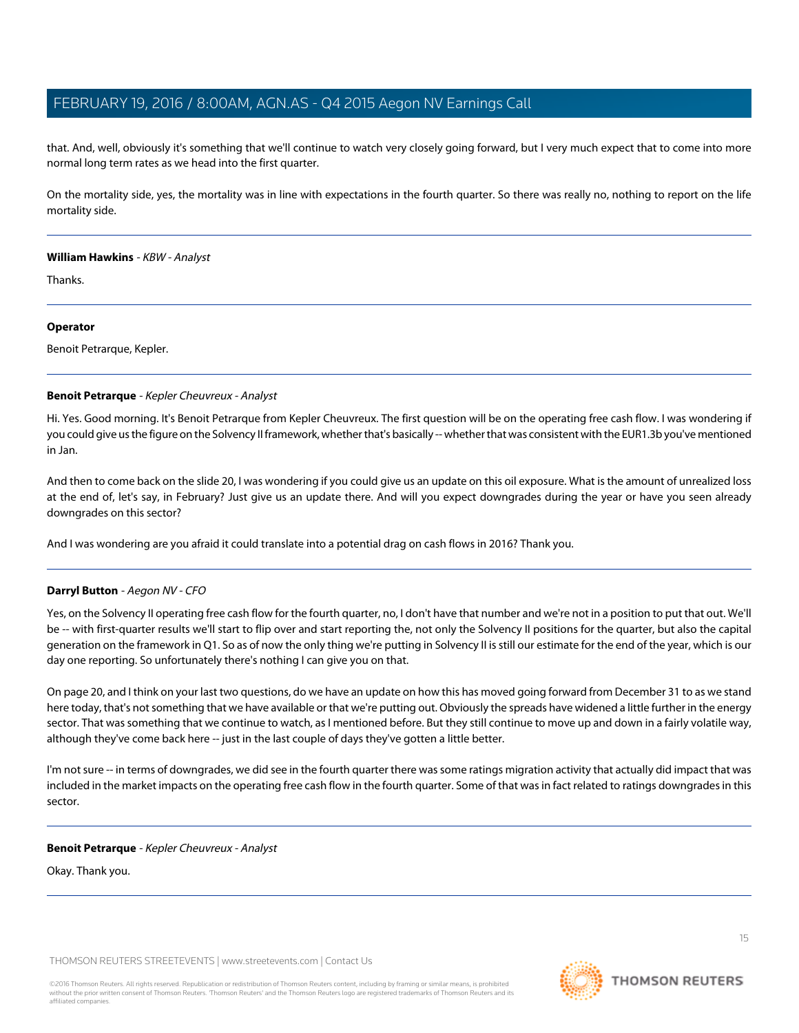that. And, well, obviously it's something that we'll continue to watch very closely going forward, but I very much expect that to come into more normal long term rates as we head into the first quarter.

On the mortality side, yes, the mortality was in line with expectations in the fourth quarter. So there was really no, nothing to report on the life mortality side.

#### **William Hawkins** - KBW - Analyst

Thanks.

#### **Operator**

<span id="page-14-0"></span>Benoit Petrarque, Kepler.

#### **Benoit Petrarque** - Kepler Cheuvreux - Analyst

Hi. Yes. Good morning. It's Benoit Petrarque from Kepler Cheuvreux. The first question will be on the operating free cash flow. I was wondering if you could give us the figure on the Solvency II framework, whether that's basically -- whether that was consistent with the EUR1.3b you've mentioned in Jan.

And then to come back on the slide 20, I was wondering if you could give us an update on this oil exposure. What is the amount of unrealized loss at the end of, let's say, in February? Just give us an update there. And will you expect downgrades during the year or have you seen already downgrades on this sector?

And I was wondering are you afraid it could translate into a potential drag on cash flows in 2016? Thank you.

#### **Darryl Button** - Aegon NV - CFO

Yes, on the Solvency II operating free cash flow for the fourth quarter, no, I don't have that number and we're not in a position to put that out. We'll be -- with first-quarter results we'll start to flip over and start reporting the, not only the Solvency II positions for the quarter, but also the capital generation on the framework in Q1. So as of now the only thing we're putting in Solvency II is still our estimate for the end of the year, which is our day one reporting. So unfortunately there's nothing I can give you on that.

On page 20, and I think on your last two questions, do we have an update on how this has moved going forward from December 31 to as we stand here today, that's not something that we have available or that we're putting out. Obviously the spreads have widened a little further in the energy sector. That was something that we continue to watch, as I mentioned before. But they still continue to move up and down in a fairly volatile way, although they've come back here -- just in the last couple of days they've gotten a little better.

I'm not sure -- in terms of downgrades, we did see in the fourth quarter there was some ratings migration activity that actually did impact that was included in the market impacts on the operating free cash flow in the fourth quarter. Some of that was in fact related to ratings downgrades in this sector.

## **Benoit Petrarque** - Kepler Cheuvreux - Analyst

Okay. Thank you.

THOMSON REUTERS STREETEVENTS | [www.streetevents.com](http://www.streetevents.com) | [Contact Us](http://www010.streetevents.com/contact.asp)

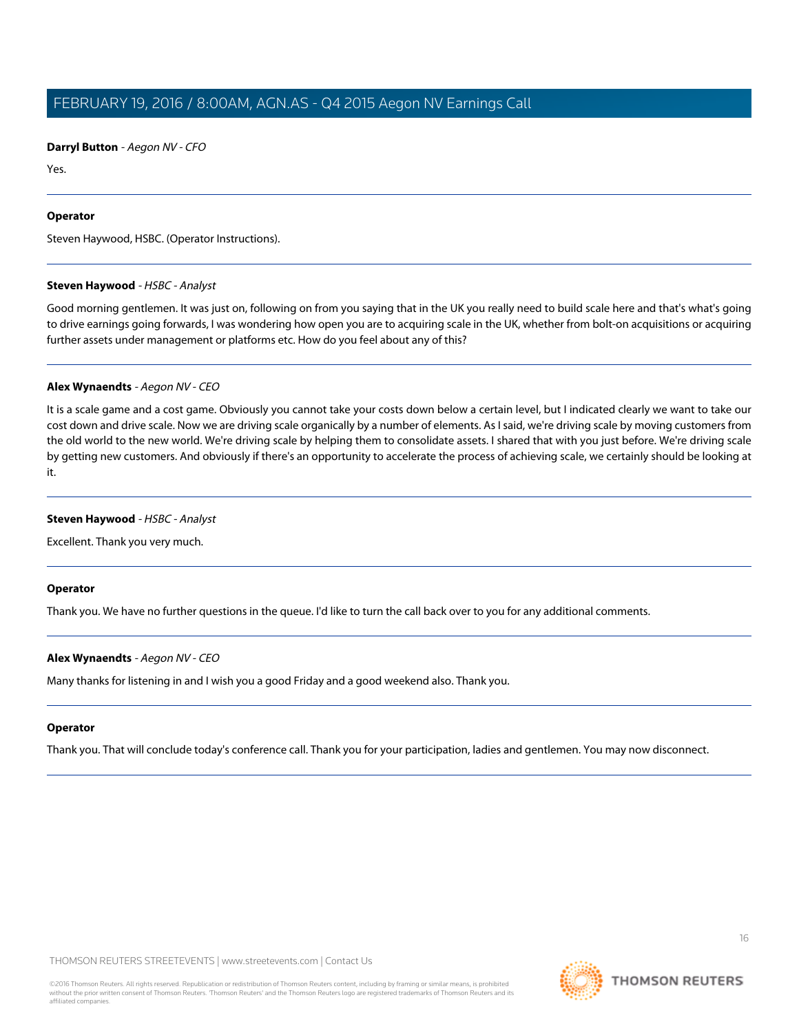**Darryl Button** - Aegon NV - CFO

Yes.

#### **Operator**

<span id="page-15-0"></span>Steven Haywood, HSBC. (Operator Instructions).

#### **Steven Haywood** - HSBC - Analyst

Good morning gentlemen. It was just on, following on from you saying that in the UK you really need to build scale here and that's what's going to drive earnings going forwards, I was wondering how open you are to acquiring scale in the UK, whether from bolt-on acquisitions or acquiring further assets under management or platforms etc. How do you feel about any of this?

## **Alex Wynaendts** - Aegon NV - CEO

It is a scale game and a cost game. Obviously you cannot take your costs down below a certain level, but I indicated clearly we want to take our cost down and drive scale. Now we are driving scale organically by a number of elements. As I said, we're driving scale by moving customers from the old world to the new world. We're driving scale by helping them to consolidate assets. I shared that with you just before. We're driving scale by getting new customers. And obviously if there's an opportunity to accelerate the process of achieving scale, we certainly should be looking at it.

#### **Steven Haywood** - HSBC - Analyst

Excellent. Thank you very much.

#### **Operator**

Thank you. We have no further questions in the queue. I'd like to turn the call back over to you for any additional comments.

#### **Alex Wynaendts** - Aegon NV - CEO

Many thanks for listening in and I wish you a good Friday and a good weekend also. Thank you.

#### **Operator**

Thank you. That will conclude today's conference call. Thank you for your participation, ladies and gentlemen. You may now disconnect.